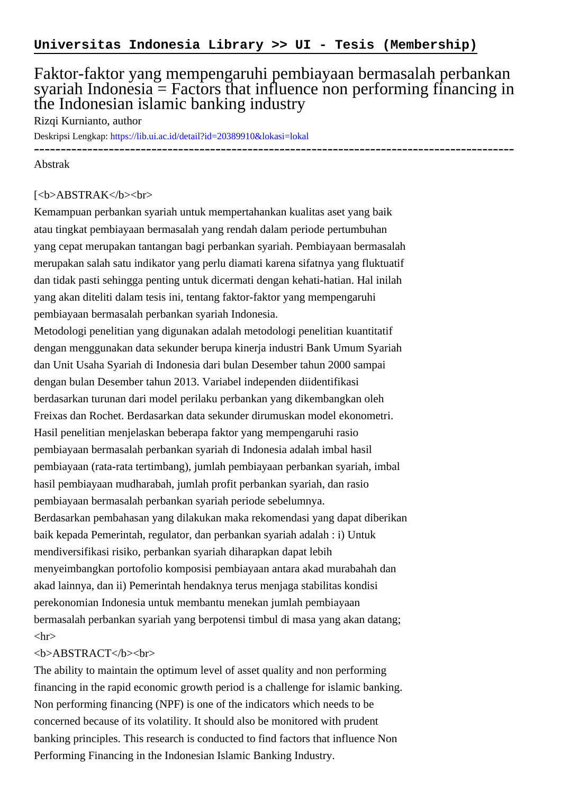## Faktor-faktor yang mempengaruhi pembiayaan bermasalah perbankan syariah Indonesia  $=$  Factors that influence non performing financing in the Indonesian islamic banking industry

Rizqi Kurnianto, author

Deskripsi Lengkap:<https://lib.ui.ac.id/detail?id=20389910&lokasi=lokal> ------------------------------------------------------------------------------------------

Abstrak

## [<b>ABSTRAK</b><br/>shr>

Kemampuan perbankan syariah untuk mempertahankan kualitas aset yang baik atau tingkat pembiayaan bermasalah yang rendah dalam periode pertumbuhan yang cepat merupakan tantangan bagi perbankan syariah. Pembiayaan bermasalah merupakan salah satu indikator yang perlu diamati karena sifatnya yang fluktuatif dan tidak pasti sehingga penting untuk dicermati dengan kehati-hatian. Hal inilah yang akan diteliti dalam tesis ini, tentang faktor-faktor yang mempengaruhi pembiayaan bermasalah perbankan syariah Indonesia.

Metodologi penelitian yang digunakan adalah metodologi penelitian kuantitatif dengan menggunakan data sekunder berupa kinerja industri Bank Umum Syariah dan Unit Usaha Syariah di Indonesia dari bulan Desember tahun 2000 sampai dengan bulan Desember tahun 2013. Variabel independen diidentifikasi berdasarkan turunan dari model perilaku perbankan yang dikembangkan oleh Freixas dan Rochet. Berdasarkan data sekunder dirumuskan model ekonometri. Hasil penelitian menjelaskan beberapa faktor yang mempengaruhi rasio pembiayaan bermasalah perbankan syariah di Indonesia adalah imbal hasil pembiayaan (rata-rata tertimbang), jumlah pembiayaan perbankan syariah, imbal hasil pembiayaan mudharabah, jumlah profit perbankan syariah, dan rasio pembiayaan bermasalah perbankan syariah periode sebelumnya. Berdasarkan pembahasan yang dilakukan maka rekomendasi yang dapat diberikan baik kepada Pemerintah, regulator, dan perbankan syariah adalah : i) Untuk mendiversifikasi risiko, perbankan syariah diharapkan dapat lebih menyeimbangkan portofolio komposisi pembiayaan antara akad murabahah dan akad lainnya, dan ii) Pemerintah hendaknya terus menjaga stabilitas kondisi perekonomian Indonesia untuk membantu menekan jumlah pembiayaan bermasalah perbankan syariah yang berpotensi timbul di masa yang akan datang;  $\langle$ hr $>$ 

## <b>ABSTRACT</b><br>

The ability to maintain the optimum level of asset quality and non performing financing in the rapid economic growth period is a challenge for islamic banking. Non performing financing (NPF) is one of the indicators which needs to be concerned because of its volatility. It should also be monitored with prudent banking principles. This research is conducted to find factors that influence Non Performing Financing in the Indonesian Islamic Banking Industry.